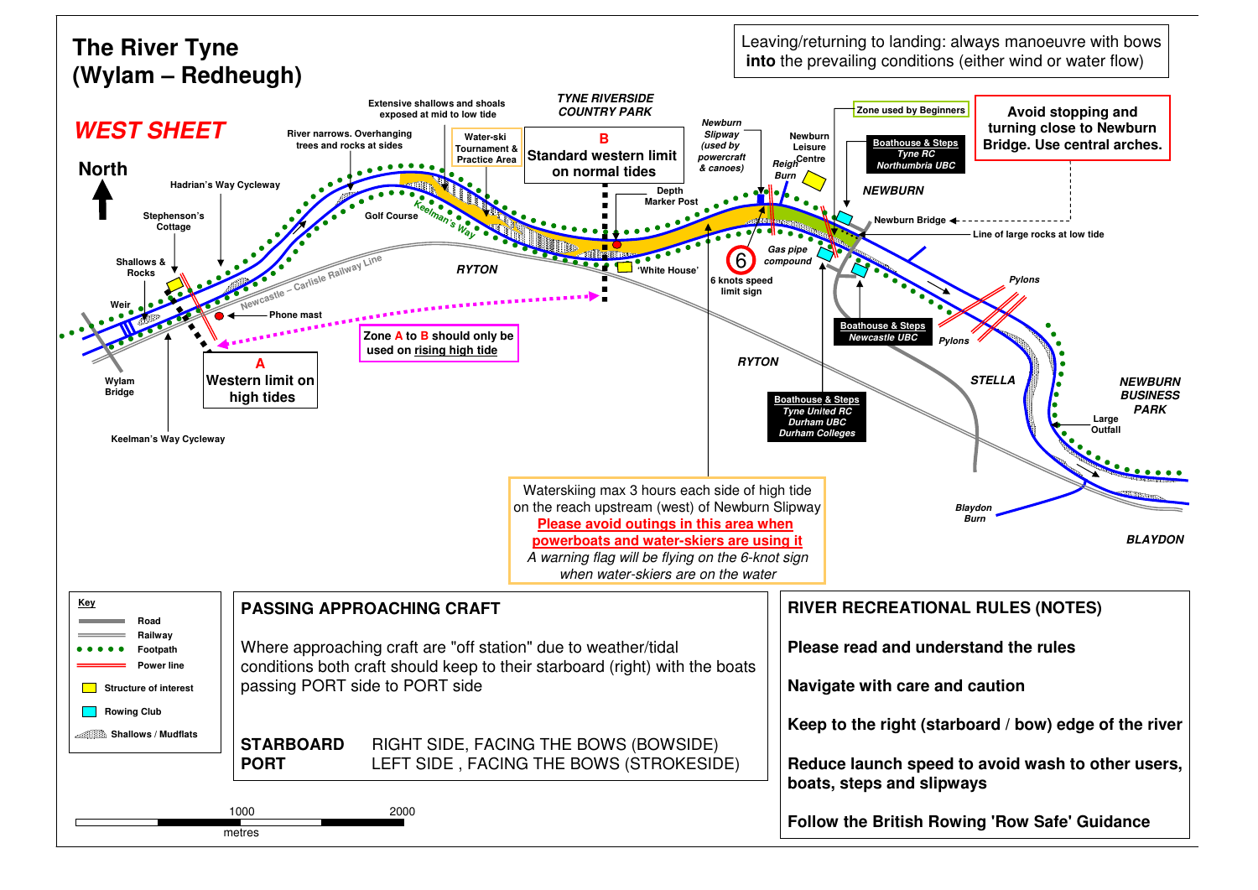